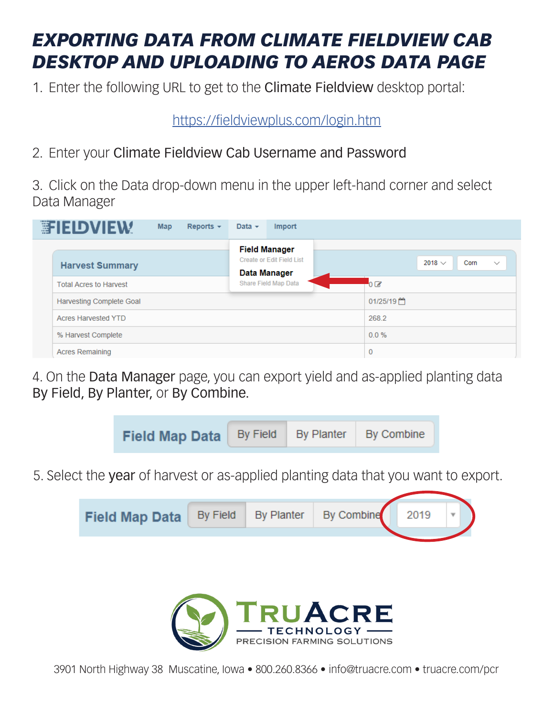## *EXPORTING DATA FROM CLIMATE FIELDVIEW CAB DESKTOP AND UPLOADING TO AEROS DATA PAGE*

1. Enter the following URL to get to the Climate Fieldview desktop portal:

https://fieldviewplus.com/login.htm

2. Enter your Climate Fieldview Cab Username and Password

3. Click on the Data drop-down menu in the upper left-hand corner and select Data Manager

|                        | <b>EFIELDVIEW</b>               | <b>Map</b> | Reports $\sim$ | Data $\sim$                                              | Import       |                |                     |              |
|------------------------|---------------------------------|------------|----------------|----------------------------------------------------------|--------------|----------------|---------------------|--------------|
|                        |                                 |            |                | <b>Field Manager</b><br><b>Create or Edit Field List</b> |              |                | 2018 $\vee$<br>Corn | $\checkmark$ |
|                        | <b>Harvest Summary</b>          |            |                | Data Manager                                             |              |                |                     |              |
|                        | <b>Total Acres to Harvest</b>   |            |                | <b>Share Field Map Data</b>                              |              | 0 <sup>o</sup> |                     |              |
|                        | <b>Harvesting Complete Goal</b> |            |                |                                                          |              | 01/25/19門      |                     |              |
|                        | <b>Acres Harvested YTD</b>      |            |                |                                                          |              | 268.2          |                     |              |
|                        | % Harvest Complete              |            |                |                                                          | $0.0 \%$     |                |                     |              |
| <b>Acres Remaining</b> |                                 |            |                |                                                          | $\mathbf{0}$ |                |                     |              |

4. On the Data Manager page, you can export yield and as-applied planting data By Field, By Planter, or By Combine.



5. Select the year of harvest or as-applied planting data that you want to export.





3901 North Highway 38 Muscatine, Iowa • 800.260.8366 • info@truacre.com • truacre.com/pcr